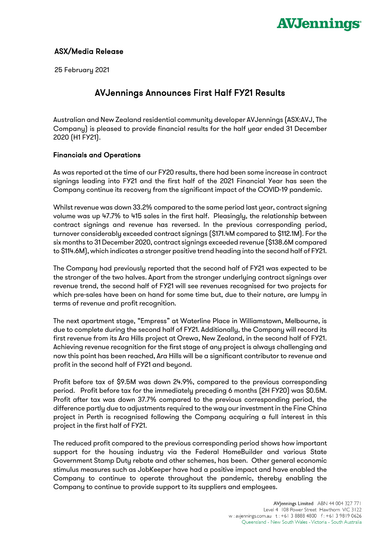

## ASX/Media Release

25 February 2021

# AVJennings Announces First Half FY21 Results

Australian and New Zealand residential community developer AVJennings (ASX:AVJ, The Company) is pleased to provide financial results for the half year ended 31 December 2020 (H1 FY21).

### Financials and Operations

As was reported at the time of our FY20 results, there had been some increase in contract signings leading into FY21 and the first half of the 2021 Financial Year has seen the Company continue its recovery from the significant impact of the COVID-19 pandemic.

Whilst revenue was down 33.2% compared to the same period last year, contract signing volume was up 47.7% to 415 sales in the first half. Pleasingly, the relationship between contract signings and revenue has reversed. In the previous corresponding period, turnover considerably exceeded contract signings (\$171.4M compared to \$112.1M). For the six months to 31 December 2020, contract signings exceeded revenue (\$138.6M compared to \$114.6M), which indicates a stronger positive trend heading into the second half of FY21.

The Company had previously reported that the second half of FY21 was expected to be the stronger of the two halves. Apart from the stronger underlying contract signings over revenue trend, the second half of FY21 will see revenues recognised for two projects for which pre-sales have been on hand for some time but, due to their nature, are lumpy in terms of revenue and profit recognition.

The next apartment stage, "Empress" at Waterline Place in Williamstown, Melbourne, is due to complete during the second half of FY21. Additionally, the Company will record its first revenue from its Ara Hills project at Orewa, New Zealand, in the second half of FY21. Achieving revenue recognition for the first stage of any project is always challenging and now this point has been reached, Ara Hills will be a significant contributor to revenue and profit in the second half of FY21 and beyond.

Profit before tax of \$9.5M was down 24.9%, compared to the previous corresponding period. Profit before tax for the immediately preceding 6 months (2H FY20) was \$0.5M. Profit after tax was down 37.7% compared to the previous corresponding period, the difference partly due to adjustments required to the way our investment in the Fine China project in Perth is recognised following the Company acquiring a full interest in this project in the first half of FY21.

The reduced profit compared to the previous corresponding period shows how important support for the housing industry via the Federal HomeBuilder and various State Government Stamp Duty rebate and other schemes, has been. Other general economic stimulus measures such as JobKeeper have had a positive impact and have enabled the Company to continue to operate throughout the pandemic, thereby enabling the Company to continue to provide support to its suppliers and employees.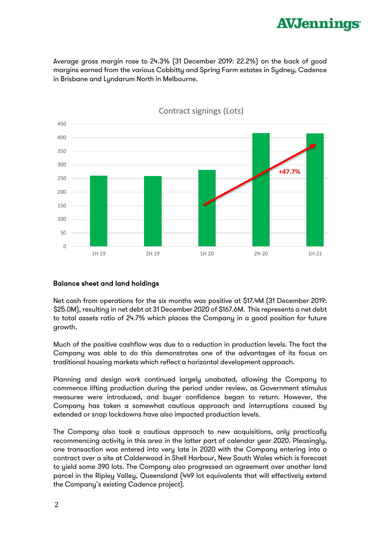

Average gross margin rose to 24.3% (31 December 2019: 22.2%) on the back of good margins earned from the various Cobbitty and Spring Farm estates in Sydney, Cadence in Brisbane and Lyndarum North in Melbourne.



Contract signings (Lots)

#### Balance sheet and land holdings

Net cash from operations for the six months was positive at \$17.4M (31 December 2019: \$25.0M), resulting in net debt at 31 December 2020 of \$167.6M. This represents a net debt to total assets ratio of 24.7% which places the Company in a good position for future growth.

Much of the positive cashflow was due to a reduction in production levels. The fact the Company was able to do this demonstrates one of the advantages of its focus on traditional housing markets which reflect a horizontal development approach.

Planning and design work continued largely unabated, allowing the Company to commence lifting production during the period under review, as Government stimulus measures were introduced, and buyer confidence began to return. However, the Company has taken a somewhat cautious approach and interruptions caused by extended or snap lockdowns have also impacted production levels.

The Company also took a cautious approach to new acquisitions, only practically recommencing activity in this area in the latter part of calendar year 2020. Pleasingly, one transaction was entered into very late in 2020 with the Company entering into a contract over a site at Calderwood in Shell Harbour, New South Wales which is forecast to yield some 390 lots. The Company also progressed an agreement over another land parcel in the Ripley Valley, Queensland (449 lot equivalents that will effectively extend the Company's existing Cadence project).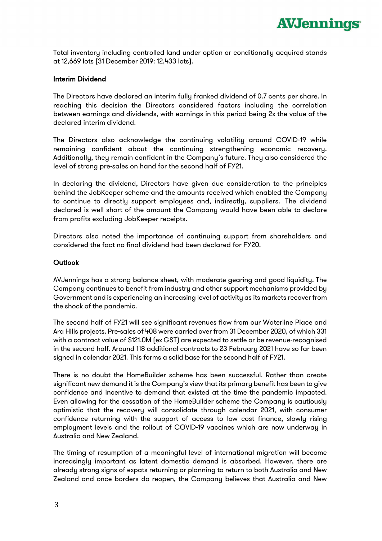

Total inventory including controlled land under option or conditionally acquired stands at 12,669 lots (31 December 2019: 12,433 lots).

#### Interim Dividend

The Directors have declared an interim fully franked dividend of 0.7 cents per share. In reaching this decision the Directors considered factors including the correlation between earnings and dividends, with earnings in this period being 2x the value of the declared interim dividend.

The Directors also acknowledge the continuing volatility around COVID-19 while remaining confident about the continuing strengthening economic recovery. Additionally, they remain confident in the Company's future. They also considered the level of strong pre-sales on hand for the second half of FY21.

In declaring the dividend, Directors have given due consideration to the principles behind the JobKeeper scheme and the amounts received which enabled the Company to continue to directly support employees and, indirectly, suppliers. The dividend declared is well short of the amount the Company would have been able to declare from profits excluding JobKeeper receipts.

Directors also noted the importance of continuing support from shareholders and considered the fact no final dividend had been declared for FY20.

#### **Outlook**

AVJennings has a strong balance sheet, with moderate gearing and good liquidity. The Company continues to benefit from industry and other support mechanisms provided by Government and is experiencing an increasing level of activity as its markets recover from the shock of the pandemic.

The second half of FY21 will see significant revenues flow from our Waterline Place and Ara Hills projects. Pre-sales of 408 were carried over from 31 December 2020, of which 331 with a contract value of \$121.0M (ex GST) are expected to settle or be revenue-recognised in the second half. Around 118 additional contracts to 23 February 2021 have so far been signed in calendar 2021. This forms a solid base for the second half of FY21.

There is no doubt the HomeBuilder scheme has been successful. Rather than create significant new demand it is the Company's view that its primary benefit has been to give confidence and incentive to demand that existed at the time the pandemic impacted. Even allowing for the cessation of the HomeBuilder scheme the Company is cautiously optimistic that the recovery will consolidate through calendar 2021, with consumer confidence returning with the support of access to low cost finance, slowly rising employment levels and the rollout of COVID-19 vaccines which are now underway in Australia and New Zealand.

The timing of resumption of a meaningful level of international migration will become increasingly important as latent domestic demand is absorbed. However, there are already strong signs of expats returning or planning to return to both Australia and New Zealand and once borders do reopen, the Company believes that Australia and New